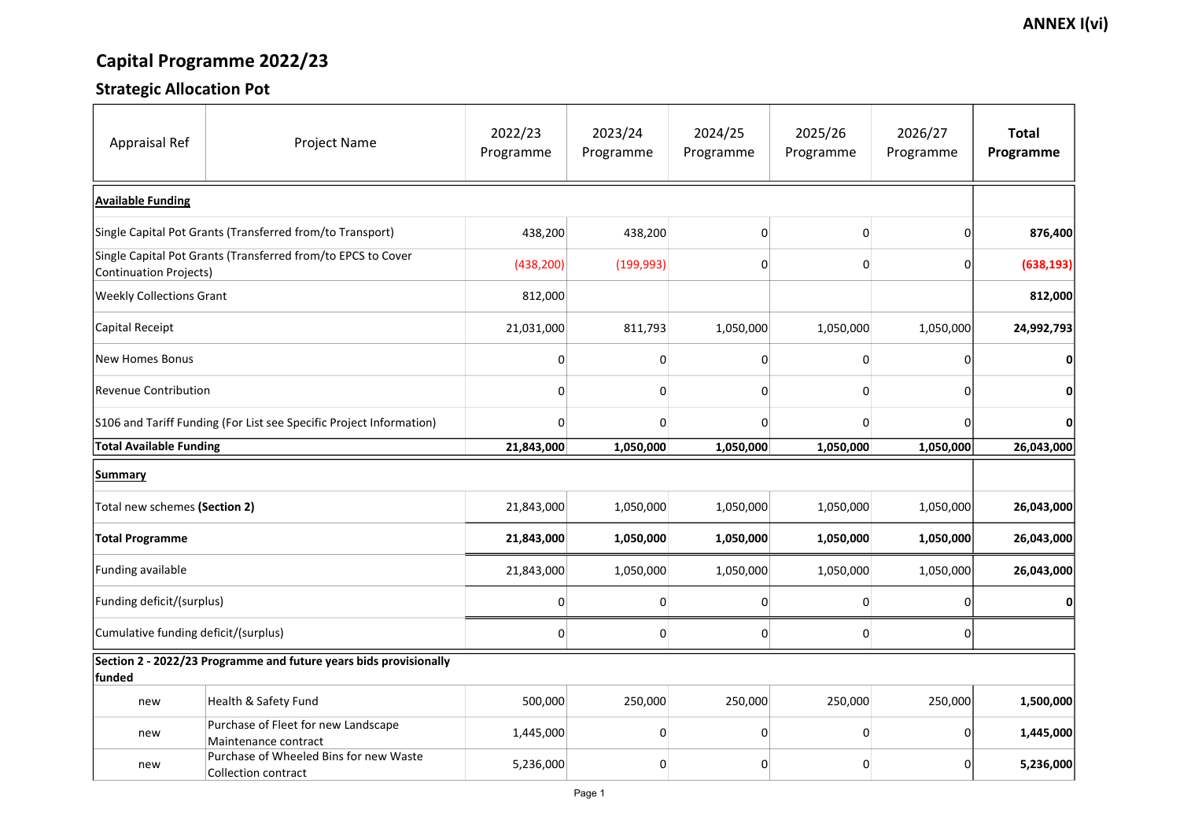## Capital Programme 2022/23

### Strategic Allocation Pot

| <b>Appraisal Ref</b>                                                                   | <b>Project Name</b>                                                  | 2022/23<br>Programme | 2023/24<br>Programme | 2024/25<br>Programme | 2025/26<br>Programme | 2026/27<br>Programme | <b>Total</b><br>Programme |  |
|----------------------------------------------------------------------------------------|----------------------------------------------------------------------|----------------------|----------------------|----------------------|----------------------|----------------------|---------------------------|--|
| <b>Available Funding</b>                                                               |                                                                      |                      |                      |                      |                      |                      |                           |  |
| Single Capital Pot Grants (Transferred from/to Transport)                              |                                                                      | 438,200              | 438,200              | $\mathbf 0$          |                      |                      | 876,400                   |  |
| Single Capital Pot Grants (Transferred from/to EPCS to Cover<br>Continuation Projects) |                                                                      | (438, 200)           | (199, 993)           | $\mathbf 0$          |                      |                      | (638, 193)                |  |
| <b>Weekly Collections Grant</b>                                                        |                                                                      | 812,000              |                      |                      |                      |                      | 812,000                   |  |
| Capital Receipt                                                                        |                                                                      | 21,031,000           | 811,793              | 1,050,000            | 1,050,000            | 1,050,000            | 24,992,793                |  |
| <b>New Homes Bonus</b>                                                                 |                                                                      |                      | 0                    | 0                    |                      |                      | $\boldsymbol{0}$          |  |
| Revenue Contribution                                                                   |                                                                      | 0                    | 0                    | $\vert 0 \vert$      |                      |                      | $\boldsymbol{0}$          |  |
| S106 and Tariff Funding (For List see Specific Project Information)                    |                                                                      |                      | 0                    | 0                    |                      |                      | $\mathbf{0}$              |  |
| <b>Total Available Funding</b>                                                         |                                                                      | 21,843,000           | 1,050,000            | 1,050,000            | 1,050,000            | 1,050,000            | 26,043,000                |  |
| <b>Summary</b>                                                                         |                                                                      |                      |                      |                      |                      |                      |                           |  |
| Total new schemes (Section 2)                                                          |                                                                      | 21,843,000           | 1,050,000            | 1,050,000            | 1,050,000            | 1,050,000            | 26,043,000                |  |
| <b>Total Programme</b>                                                                 |                                                                      | 21,843,000           | 1,050,000            | 1,050,000            | 1,050,000            | 1,050,000            | 26,043,000                |  |
| <b>Funding available</b>                                                               |                                                                      | 21,843,000           | 1,050,000            | 1,050,000            | 1,050,000            | 1,050,000            | 26,043,000                |  |
| Funding deficit/(surplus)                                                              |                                                                      | 0                    | 0                    | 0                    |                      |                      | $\mathbf{0}$              |  |
| Cumulative funding deficit/(surplus)                                                   |                                                                      | 0                    | 0                    | 0                    |                      |                      |                           |  |
| funded                                                                                 | Section 2 - 2022/23 Programme and future years bids provisionally    |                      |                      |                      |                      |                      |                           |  |
| new                                                                                    | Health & Safety Fund                                                 | 500,000              | 250,000              | 250,000              | 250,000              | 250,000              | 1,500,000                 |  |
| new                                                                                    | Purchase of Fleet for new Landscape<br>Maintenance contract          | 1,445,000            | 0                    | $\Omega$             |                      |                      | 1,445,000                 |  |
| new                                                                                    | Purchase of Wheeled Bins for new Waste<br><b>Collection contract</b> | 5,236,000            | 0                    | 0                    |                      |                      | 5,236,000                 |  |

#### **ANNEX I(vi)**